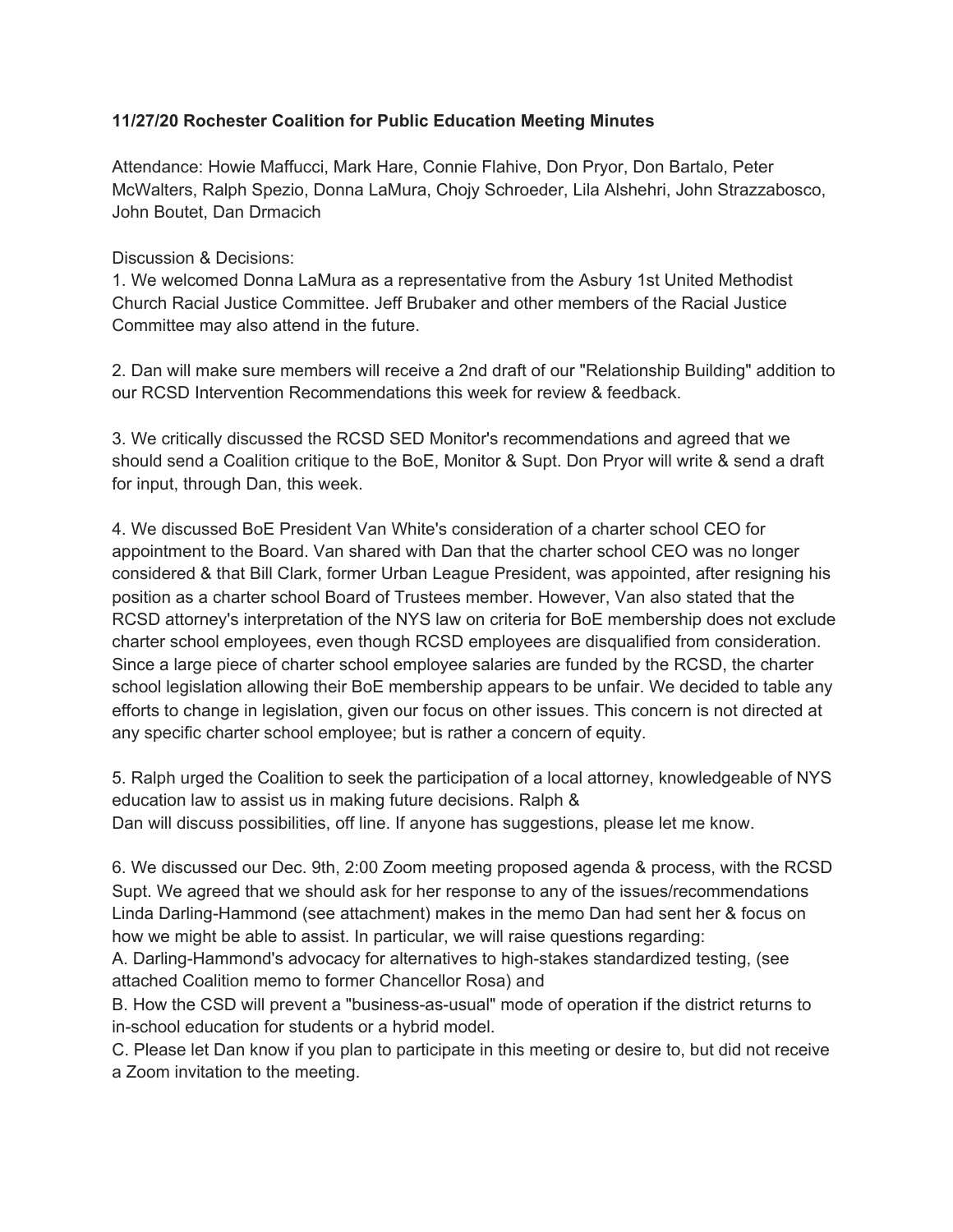## **11/27/20 Rochester Coalition for Public Education Meeting Minutes**

Attendance: Howie Maffucci, Mark Hare, Connie Flahive, Don Pryor, Don Bartalo, Peter McWalters, Ralph Spezio, Donna LaMura, Chojy Schroeder, Lila Alshehri, John Strazzabosco, John Boutet, Dan Drmacich

## Discussion & Decisions:

1. We welcomed Donna LaMura as a representative from the Asbury 1st United Methodist Church Racial Justice Committee. Jeff Brubaker and other members of the Racial Justice Committee may also attend in the future.

2. Dan will make sure members will receive a 2nd draft of our "Relationship Building" addition to our RCSD Intervention Recommendations this week for review & feedback.

3. We critically discussed the RCSD SED Monitor's recommendations and agreed that we should send a Coalition critique to the BoE, Monitor & Supt. Don Pryor will write & send a draft for input, through Dan, this week.

4. We discussed BoE President Van White's consideration of a charter school CEO for appointment to the Board. Van shared with Dan that the charter school CEO was no longer considered & that Bill Clark, former Urban League President, was appointed, after resigning his position as a charter school Board of Trustees member. However, Van also stated that the RCSD attorney's interpretation of the NYS law on criteria for BoE membership does not exclude charter school employees, even though RCSD employees are disqualified from consideration. Since a large piece of charter school employee salaries are funded by the RCSD, the charter school legislation allowing their BoE membership appears to be unfair. We decided to table any efforts to change in legislation, given our focus on other issues. This concern is not directed at any specific charter school employee; but is rather a concern of equity.

5. Ralph urged the Coalition to seek the participation of a local attorney, knowledgeable of NYS education law to assist us in making future decisions. Ralph & Dan will discuss possibilities, off line. If anyone has suggestions, please let me know.

6. We discussed our Dec. 9th, 2:00 Zoom meeting proposed agenda & process, with the RCSD Supt. We agreed that we should ask for her response to any of the issues/recommendations Linda Darling-Hammond (see attachment) makes in the memo Dan had sent her & focus on how we might be able to assist. In particular, we will raise questions regarding:

A. Darling-Hammond's advocacy for alternatives to high-stakes standardized testing, (see attached Coalition memo to former Chancellor Rosa) and

B. How the CSD will prevent a "business-as-usual" mode of operation if the district returns to in-school education for students or a hybrid model.

C. Please let Dan know if you plan to participate in this meeting or desire to, but did not receive a Zoom invitation to the meeting.